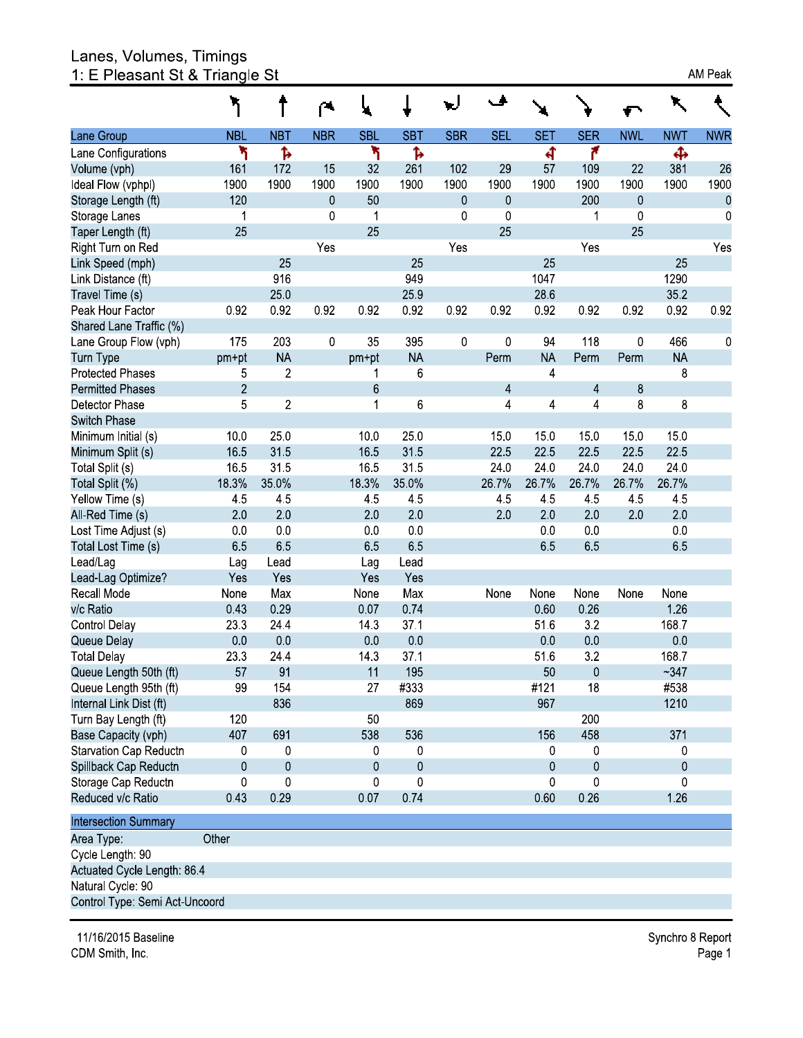# Lanes, Volumes, Timings<br>1: E Pleasant St & Triangle St

|                             | ፞፞ጘ            |                  | ◚            | ч               |                 | W          | ◡          |            |                |              | ↖              |               |
|-----------------------------|----------------|------------------|--------------|-----------------|-----------------|------------|------------|------------|----------------|--------------|----------------|---------------|
| Lane Group                  | <b>NBL</b>     | <b>NBT</b>       | <b>NBR</b>   | <b>SBL</b>      | <b>SBT</b>      | <b>SBR</b> | <b>SEL</b> | <b>SET</b> | <b>SER</b>     | <b>NWL</b>   | <b>NWT</b>     | <b>NWF</b>    |
| Lane Configurations         | ۲              | Ъ                |              | ۲               | Ъ               |            |            | 4          | ۴              |              | Ф              |               |
| Volume (vph)                | 161            | 172              | 15           | 32              | 261             | 102        | 29         | 57         | 109            | 22           | 381            | 26            |
| deal Flow (vphpl)           | 1900           | 1900             | 1900         | 1900            | 1900            | 1900       | 1900       | 1900       | 1900           | 1900         | 1900           | 1900          |
| Storage Length (ft)         | 120            |                  | $\mathbf{0}$ | 50              |                 | 0          | 0          |            | 200            | $\mathbf{0}$ |                |               |
| Storage Lanes               | 1              |                  | 0            | 1               |                 | 0          | 0          |            | 1              | $\mathbf 0$  |                | $\mathcal{L}$ |
| Taper Length (ft)           | 25             |                  |              | 25              |                 |            | 25         |            |                | 25           |                |               |
| Right Turn on Red           |                |                  | Yes          |                 |                 | Yes        |            |            | Yes            |              |                | Ye:           |
| Link Speed (mph)            |                | 25               |              |                 | 25              |            |            | 25         |                |              | 25             |               |
| Link Distance (ft)          |                | 916              |              |                 | 949             |            |            | 1047       |                |              | 1290           |               |
| Travel Time (s)             |                | 250              |              |                 | 259             |            |            | 28.6       |                |              | 35.2           |               |
| Peak Hour Factor            | 0.92           | 092              | 0.92         | 092             | 0.92            | 0.92       | 092        | 0.92       | 092            | 0.92         | 0.92           | 0.92          |
| Shared Lane Traffic (%)     |                |                  |              |                 |                 |            |            |            |                |              |                |               |
| Lane Group Flow (vph)       | 175            | 203              | 0            | 35              | 395             | $\pmb{0}$  | 0          | 94         | 118            | 0            | 466            | (             |
| Turn Type                   | pm+pt          | <b>NA</b>        |              | pm+pt           | <b>NA</b>       |            | Perm       | <b>NA</b>  | Perm           | Perm         | <b>NA</b>      |               |
| Protected Phases            | 5              | $\overline{c}$   |              | 1               | 6               |            |            | 4          |                |              | 8              |               |
| Permitted Phases            | $\overline{2}$ |                  |              | $6\phantom{1}6$ |                 |            | 4          |            | 4              | 8            |                |               |
| Detector Phase              | 5              | $\boldsymbol{2}$ |              | 1               | 6               |            | 4          | 4          | 4              | 8            | 8              |               |
| Switch Phase                |                |                  |              |                 |                 |            |            |            |                |              |                |               |
| Minimum Initial (s)         | 10.0           | 250              |              | 10.0            | 250             |            | 15.0       | 150        | 150            | 150          | 150            |               |
| Minimum Split (s)           | 165            | 315              |              | 165             | 315             |            | 225        | 22.5       | 225            | 225          | 225            |               |
| Total Split (s)             | 165            | 315              |              | 165             | 315             |            | 24.0       | 24.0       | 240            | 240          | 24 0           |               |
| Total Split (%)             | 18.3%          | 35.0%            |              | 18.3%           | 35.0%           |            | 26.7%      | 26.7%      | 26.7%          | 26.7%        | 26.7%          |               |
| Yellow Time (s)             | 45             | 45               |              | 45              | 45              |            | 45         | 45         | 45             | 45           | 45             |               |
| All-Red Time (s)            | 20             | 20               |              | 20              | 20              |            | 20         | 2.0        | 20             | 2.0          | 20             |               |
| Lost Time Adjust (s)        | 0 <sub>0</sub> | 0 <sub>0</sub>   |              | 0.0             | 0 <sub>0</sub>  |            |            | 0.0        | 0 <sub>0</sub> |              | 0 <sub>0</sub> |               |
| Total Lost Time (s)         | 65             | 65               |              | 65              | 65              |            |            | 65         | 65             |              | 65             |               |
| Lead/Lag                    | Lag            | Lead             |              | Lag             | Lead            |            |            |            |                |              |                |               |
| Lead-Lag Optimize?          | Yes            | Yes              |              | Yes             | Yes             |            |            |            |                |              |                |               |
| Recall Mode                 | None           | Max              |              | None            | Max             |            | None       | None       | None           | None         | None           |               |
| v/c Ratio                   | 0.43           | 0.29             |              | 0.07            | 0.74            |            |            | 0.60       | 0.26           |              | 1.26           |               |
| Control Delay               | 233            | 24 4             |              | 14 3            | 37.1            |            |            | 516        | 3.2            |              | 1687           |               |
| Queue Delay                 | 0.0            | 0 <sub>0</sub>   |              | 0 <sub>0</sub>  | 0 <sub>0</sub>  |            |            | 0.0        | 0 <sub>0</sub> |              | 0.0            |               |
| <b>Total Delay</b>          | 233            | 24 4             |              | 143             | 37 <sub>1</sub> |            |            | 516        | 32             |              | 1687           |               |
| Queue Length 50th (ft)      | 57             | 91               |              | 11              | 195             |            |            | 50         | $\pmb{0}$      |              | $-347$         |               |
| Queue Length 95th (ft)      | 99             | 154              |              | 27              | #333            |            |            | #121       | 18             |              | #538           |               |
| Internal Link Dist (ft)     |                | 836              |              |                 | 869             |            |            | 967        |                |              | 1210           |               |
| Turn Bay Length (ft)        | 120            |                  |              | 50              |                 |            |            |            | 200            |              |                |               |
| Base Capacity (vph)         | 407            | 691              |              | 538             | 536             |            |            | 156        | 458            |              | 371            |               |
| Starvation Cap Reductn      | 0              | 0                |              | 0               | 0               |            |            | 0          | 0              |              | 0              |               |
| Spillback Cap Reductn       | 0              | 0                |              | 0               | 0               |            |            | 0          | 0              |              | 0              |               |
| Storage Cap Reductn         | 0              | 0                |              | 0               | 0               |            |            | 0          | 0              |              | 0              |               |
| Reduced v/c Ratio           | 043            | 029              |              | 0.07            | 074             |            |            | 0.60       | 0.26           |              | 1.26           |               |
| Intersection Summary        |                |                  |              |                 |                 |            |            |            |                |              |                |               |
| Area Type:                  | Other          |                  |              |                 |                 |            |            |            |                |              |                |               |
| Cycle Length: 90            |                |                  |              |                 |                 |            |            |            |                |              |                |               |
| Actuated Cycle Length: 86.4 |                |                  |              |                 |                 |            |            |            |                |              |                |               |

Natural Cycle: 90

Control Type: Semi Act-Uncoord

11/16/2015 Baseline CDM Smith, Inc.

Synchro 8 Report Page 1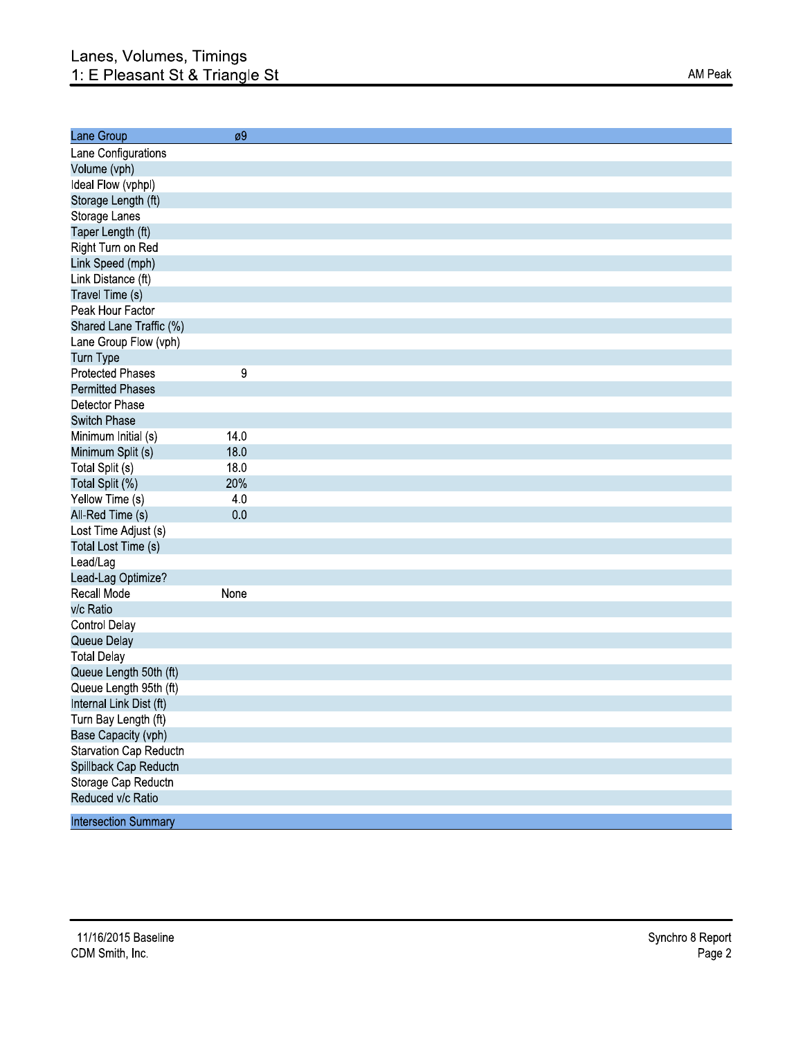| Lane Group                  | øУ   |  |
|-----------------------------|------|--|
| Lane Configurations         |      |  |
| Volume (vph)                |      |  |
| Ideal Flow (vphpl)          |      |  |
| Storage Length (ft)         |      |  |
| Storage Lanes               |      |  |
| Taper Length (ft)           |      |  |
| Right Turn on Red           |      |  |
| Link Speed (mph)            |      |  |
| Link Distance (ft)          |      |  |
| Travel Time (s)             |      |  |
| Peak Hour Factor            |      |  |
| Shared Lane Traffic (%)     |      |  |
| Lane Group Flow (vph)       |      |  |
| Turn Type                   |      |  |
| <b>Protected Phases</b>     | 9    |  |
| <b>Permitted Phases</b>     |      |  |
| Detector Phase              |      |  |
| <b>Switch Phase</b>         |      |  |
| Minimum Initial (s)         | 140  |  |
| Minimum Split (s)           | 18.0 |  |
| Total Split (s)             | 180  |  |
| Total Split (%)             | 20%  |  |
| Yellow Time (s)             | 4.0  |  |
| All-Red Time (s)            | 0.0  |  |
| Lost Time Adjust (s)        |      |  |
| Total Lost Time (s)         |      |  |
| Lead/Lag                    |      |  |
| Lead-Lag Optimize?          |      |  |
| Recall Mode                 | None |  |
| v/c Ratio                   |      |  |
| <b>Control Delay</b>        |      |  |
| Queue Delay                 |      |  |
| <b>Total Delay</b>          |      |  |
| Queue Length 50th (ft)      |      |  |
| Queue Length 95th (ft)      |      |  |
| Internal Link Dist (ft)     |      |  |
| Turn Bay Length (ft)        |      |  |
| Base Capacity (vph)         |      |  |
| Starvation Cap Reductn      |      |  |
| Spillback Cap Reductn       |      |  |
| Storage Cap Reductn         |      |  |
| Reduced v/c Ratio           |      |  |
| <b>Intersection Summary</b> |      |  |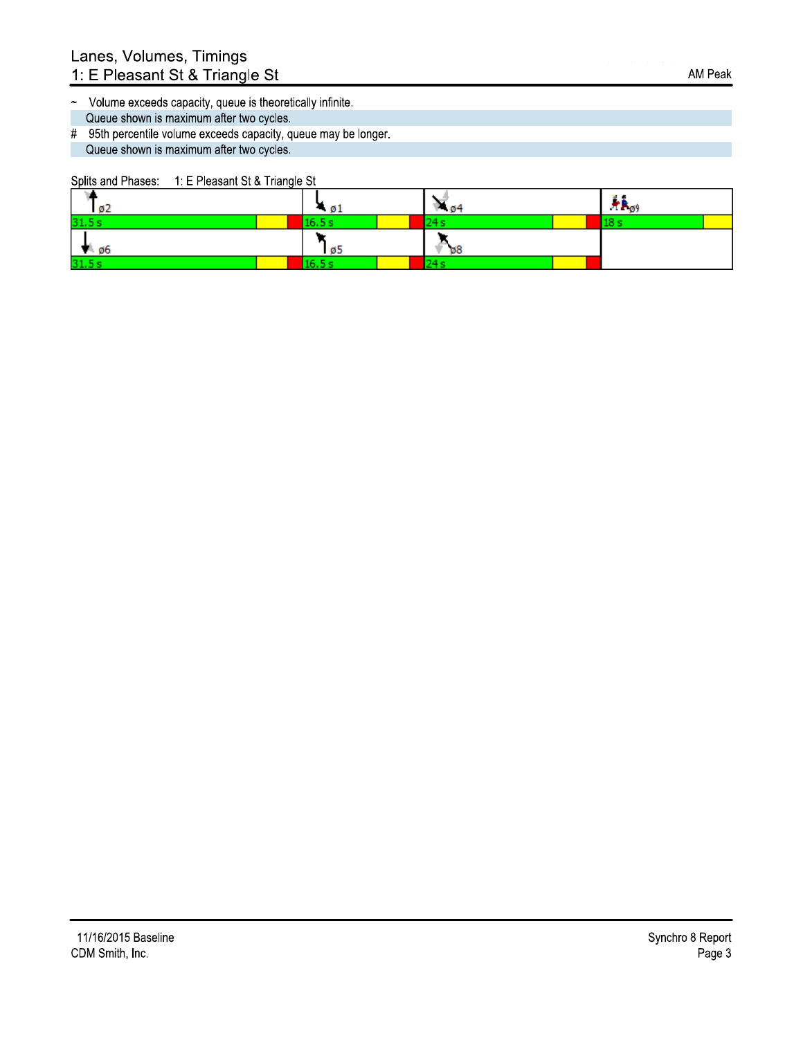~ Volume exceeds capacity, queue is theoretically infinite. Queue shown is maximum after two cycles.

# 95th percentile volume exceeds capacity, queue may be longer. Queue shown is maximum after two cycles.

Splits and Phases: 1: E Pleasant St & Triangle St

| 102             | - 01  | P 04     | $+ \epsilon_{\rho 9}$ |
|-----------------|-------|----------|-----------------------|
| 31.5s           | 6 S e |          |                       |
| $\frac{10}{96}$ | 105   | $\psi$ 8 |                       |
| 31.5s           |       | L4 S     |                       |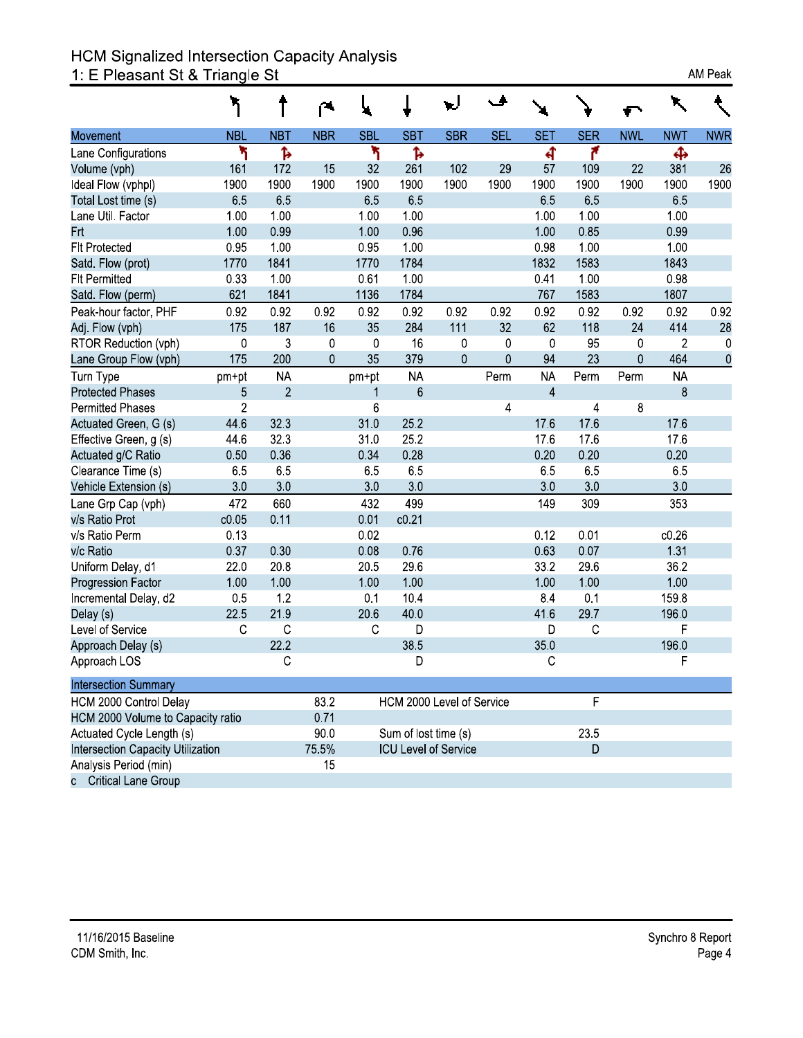# HCM Signalized Intersection Capacity Analysis<br>1: E Pleasant St & Triangle St

|                                   |                |                | ≃              |            |                             |                  |             |                |            |            |            |            |
|-----------------------------------|----------------|----------------|----------------|------------|-----------------------------|------------------|-------------|----------------|------------|------------|------------|------------|
| Movement                          | <b>NBL</b>     | <b>NBT</b>     | <b>NBR</b>     | <b>SBL</b> | <b>SBT</b>                  | <b>SBR</b>       | <b>SEL</b>  | <b>SET</b>     | <b>SER</b> | <b>NWL</b> | <b>NWT</b> | <b>NWR</b> |
| Lane Configurations               | ۲              | Ъ              |                | ۳          | Ъ                           |                  |             | ची             | ۴          |            | Ф          |            |
| Volume (vph)                      | 161            | 172            | 15             | 32         | 261                         | 102              | 29          | 57             | 109        | 22         | 381        | 26         |
| Ideal Flow (vphpl)                | 1900           | 1900           | 1900           | 1900       | 1900                        | 1900             | 1900        | 1900           | 1900       | 1900       | 1900       | 1900       |
| Total Lost time (s)               | 65             | 65             |                | 65         | 65                          |                  |             | 65             | 65         |            | 65         |            |
| Lane Util. Factor                 | 1.00           | 1.00           |                | 1.00       | 1.00                        |                  |             | 1.00           | 1.00       |            | 1.00       |            |
| <b>Frt</b>                        | 1.00           | 0.99           |                | 1.00       | 096                         |                  |             | 1.00           | 085        |            | 0.99       |            |
| <b>Flt Protected</b>              | 0.95           | 1.00           |                | 0.95       | 1.00                        |                  |             | 0.98           | 1.00       |            | 1.00       |            |
| Satd. Flow (prot)                 | 1770           | 1841           |                | 1770       | 1784                        |                  |             | 1832           | 1583       |            | 1843       |            |
| <b>FIt Permitted</b>              | 0.33           | 1.00           |                | 0.61       | 1.00                        |                  |             | 041            | 1.00       |            | 0.98       |            |
| Satd. Flow (perm)                 | 621            | 1841           |                | 1136       | 1784                        |                  |             | 767            | 1583       |            | 1807       |            |
| Peak-hour factor, PHF             | 0.92           | 0.92           | 0.92           | 0.92       | 0.92                        | 0.92             | 0.92        | 0.92           | 0.92       | 0.92       | 0.92       | 0.92       |
| Adj. Flow (vph)                   | 175            | 187            | 16             | 35         | 284                         | 111              | 32          | 62             | 118        | 24         | 414        | 28         |
| RTOR Reduction (vph)              | 0              | 3              | 0              | 0          | 16                          | 0                | $\mathbf 0$ | 0              | 95         | 0          | 2          | 0          |
| Lane Group Flow (vph)             | 175            | 200            | $\overline{0}$ | 35         | 379                         | $\boldsymbol{0}$ | 0           | 94             | 23         | 0          | 464        | $\pmb{0}$  |
| Turn Type                         | pm+pt          | <b>NA</b>      |                | pm+pt      | <b>NA</b>                   |                  | Perm        | <b>NA</b>      | Perm       | Perm       | <b>NA</b>  |            |
| <b>Protected Phases</b>           | 5              | $\overline{2}$ |                | 1          | $6\phantom{a}$              |                  |             | $\overline{4}$ |            |            | 8          |            |
| <b>Permitted Phases</b>           | $\overline{2}$ |                |                | 6          |                             |                  | 4           |                | 4          | 8          |            |            |
| Actuated Green, G (s)             | 44.6           | 323            |                | 310        | 25.2                        |                  |             | 17.6           | 176        |            | 176        |            |
| Effective Green, g (s)            | 44 6           | 323            |                | 310        | 25.2                        |                  |             | 176            | 176        |            | 17.6       |            |
| Actuated g/C Ratio                | 0.50           | 0.36           |                | 0.34       | 0.28                        |                  |             | 0.20           | 0.20       |            | 0.20       |            |
| Clearance Time (s)                | 6.5            | 6.5            |                | 65         | 65                          |                  |             | 6.5            | 65         |            | 6.5        |            |
| Vehicle Extension (s)             | 3.0            | 30             |                | 30         | 30                          |                  |             | 3.0            | 30         |            | 3.0        |            |
| Lane Grp Cap (vph)                | 472            | 660            |                | 432        | 499                         |                  |             | 149            | 309        |            | 353        |            |
| v/s Ratio Prot                    | c0.05          | 0.11           |                | 0.01       | c0.21                       |                  |             |                |            |            |            |            |
| v/s Ratio Perm                    | 0.13           |                |                | 0.02       |                             |                  |             | 0.12           | 0.01       |            | c0.26      |            |
| v/c Ratio                         | 037            | 030            |                | 0.08       | 0.76                        |                  |             | 063            | 0.07       |            | 1.31       |            |
| Uniform Delay, d1                 | 220            | 20.8           |                | 205        | 296                         |                  |             | 332            | 296        |            | 362        |            |
| <b>Progression Factor</b>         | 1.00           | 1.00           |                | 1.00       | 1.00                        |                  |             | 1.00           | 1.00       |            | 1.00       |            |
| Incremental Delay, d2             | 0.5            | 1.2            |                | 0.1        | 10.4                        |                  |             | 8.4            | 0.1        |            | 159.8      |            |
| Delay (s)                         | 225            | 219            |                | 206        | 40.0                        |                  |             | 416            | 297        |            | 196.0      |            |
| Level of Service                  | $\mathbb C$    | $\mathbf C$    |                | C          | D                           |                  |             | D              | C          |            | F          |            |
| Approach Delay (s)                |                | 22.2           |                |            | 385                         |                  |             | 35.0           |            |            | 196.0      |            |
| Approach LOS                      |                | $\mathsf C$    |                |            | D                           |                  |             | С              |            |            | F          |            |
| <b>Intersection Summary</b>       |                |                |                |            |                             |                  |             |                |            |            |            |            |
| HCM 2000 Control Delay            |                |                | 83.2           |            | HCM 2000 Level of Service   |                  |             |                | F          |            |            |            |
| HCM 2000 Volume to Capacity ratio |                |                | 0.71           |            |                             |                  |             |                |            |            |            |            |
| Actuated Cycle Length (s)         |                |                | 90.0           |            | Sum of lost time (s)        |                  |             |                | 23.5       |            |            |            |
| Intersection Capacity Utilization |                |                | 75.5%          |            | <b>ICU Level of Service</b> |                  |             |                | D          |            |            |            |
| Analysis Period (min)             |                |                | 15             |            |                             |                  |             |                |            |            |            |            |
| c Critical Lane Group             |                |                |                |            |                             |                  |             |                |            |            |            |            |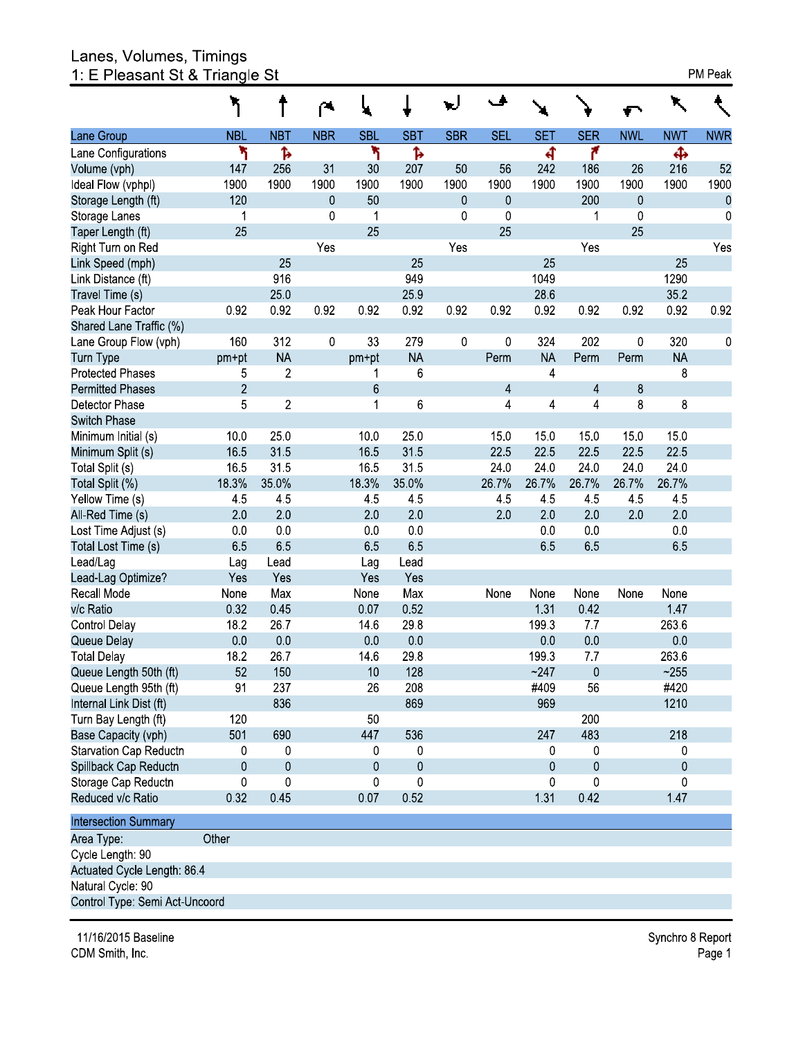# Lanes, Volumes, Timings<br>1: E Pleasant St & Triangle St

|                             |                |                |             | ų              |                  |            | مۍ             |                         |            |            |            |            |
|-----------------------------|----------------|----------------|-------------|----------------|------------------|------------|----------------|-------------------------|------------|------------|------------|------------|
| Lane Group                  | <b>NBL</b>     | <b>NBT</b>     | <b>NBR</b>  | <b>SBL</b>     | <b>SBT</b>       | <b>SBR</b> | <b>SEL</b>     | <b>SET</b>              | <b>SER</b> | <b>NWL</b> | <b>NWT</b> | <b>NWR</b> |
| Lane Configurations         | ۲              | Ъ              |             | ۲              | Ъ                |            |                | ची                      | ۴          |            | Ф          |            |
| Volume (vph)                | 147            | 256            | 31          | 30             | 207              | 50         | 56             | 242                     | 186        | 26         | 216        | 52         |
| Ideal Flow (vphpl)          | 1900           | 1900           | 1900        | 1900           | 1900             | 1900       | 1900           | 1900                    | 1900       | 1900       | 1900       | 1900       |
| Storage Length (ft)         | 120            |                | 0           | 50             |                  | $\pmb{0}$  | 0              |                         | 200        | 0          |            | $\pmb{0}$  |
| Storage Lanes               | 1              |                | $\pmb{0}$   | 1              |                  | 0          | $\mathbf 0$    |                         | 1          | $\pmb{0}$  |            | $\pmb{0}$  |
| Taper Length (ft)           | 25             |                |             | 25             |                  |            | 25             |                         |            | 25         |            |            |
| Right Turn on Red           |                |                | Yes         |                |                  | Yes        |                |                         | Yes        |            |            | Yes        |
| Link Speed (mph)            |                | 25             |             |                | 25               |            |                | 25                      |            |            | 25         |            |
| Link Distance (ft)          |                | 916            |             |                | 949              |            |                | 1049                    |            |            | 1290       |            |
| Travel Time (s)             |                | 25.0           |             |                | 259              |            |                | 28.6                    |            |            | 35.2       |            |
| Peak Hour Factor            | 0.92           | 0.92           | 0.92        | 0.92           | 0.92             | 0.92       | 0.92           | 0.92                    | 0.92       | 0.92       | 0.92       | 0.92       |
| Shared Lane Traffic (%)     |                |                |             |                |                  |            |                |                         |            |            |            |            |
| Lane Group Flow (vph)       | 160            | 312            | $\mathbf 0$ | 33             | 279              | $\pmb{0}$  | 0              | 324                     | 202        | 0          | 320        | 0          |
| Turn Type                   | pm+pt          | <b>NA</b>      |             | pm+pt          | <b>NA</b>        |            | Perm           | <b>NA</b>               | Perm       | Perm       | <b>NA</b>  |            |
| <b>Protected Phases</b>     | 5              | $\sqrt{2}$     |             | 1              | 6                |            |                | $\overline{4}$          |            |            | 8          |            |
| <b>Permitted Phases</b>     | $\overline{2}$ |                |             | 6              |                  |            | $\overline{4}$ |                         | 4          | 8          |            |            |
| Detector Phase              | 5              | $\sqrt{2}$     |             | 1              | 6                |            | 4              | $\overline{\mathbf{4}}$ | 4          | 8          | 8          |            |
| Switch Phase                |                |                |             |                |                  |            |                |                         |            |            |            |            |
| Minimum Initial (s)         | 10.0           | 250            |             | 100            | 250              |            | 150            | 150                     | 150        | 150        | 150        |            |
| Minimum Split (s)           | 165            | 315            |             | 165            | 315              |            | 225            | 22.5                    | 225        | 225        | 225        |            |
| Total Split (s)             | 165            | 315            |             | 165            | 315              |            | 24.0           | 24.0                    | 240        | 240        | 240        |            |
| Total Split (%)             | 18.3%          | 35.0%          |             | 18.3%          | 35.0%            |            | 26.7%          | 26.7%                   | 26.7%      | 26.7%      | 26.7%      |            |
| Yellow Time (s)             | 45             | 45             |             | 45             | 45               |            | 45             | 45                      | 45         | 45         | 45         |            |
| All-Red Time (s)            | 2.0            | 20             |             | 20             | 20               |            | 20             | 20                      | 20         | 2.0        | 2.0        |            |
| Lost Time Adjust (s)        | 0.0            | 0 <sub>0</sub> |             | 0 <sub>0</sub> | 0 <sub>0</sub>   |            |                | 0.0                     | 0.0        |            | 0.0        |            |
| Total Lost Time (s)         | 6.5            | 65             |             | 65             | 65               |            |                | 65                      | 65         |            | 6.5        |            |
| Lead/Lag                    | Lag            | Lead           |             | Lag            | Lead             |            |                |                         |            |            |            |            |
| Lead-Lag Optimize?          | Yes            | Yes            |             | Yes            | Yes              |            |                |                         |            |            |            |            |
| Recall Mode                 | None           | Max            |             | None           | Max              |            | None           | None                    | None       | None       | None       |            |
| v/c Ratio                   | 0.32           | 0.45           |             | 0.07           | 0.52             |            |                | 131                     | 0.42       |            | 147        |            |
| Control Delay               | 18.2           | 26.7           |             | 146            | 298              |            |                | 1993                    | 77         |            | 263.6      |            |
| Queue Delay                 | 0 <sub>0</sub> | 0.0            |             | 0.0            | 0.0              |            |                | 0 <sub>0</sub>          | 0.0        |            | 0.0        |            |
| <b>Total Delay</b>          | 18.2           | 267            |             | 146            | 298              |            |                | 199.3                   | 7.7        |            | 263.6      |            |
| Queue Length 50th (ft)      | 52             | 150            |             | 10             | 128              |            |                | ~247                    | $\pmb{0}$  |            | ~255       |            |
| Queue Length 95th (ft)      | 91             | 237            |             | 26             | 208              |            |                | #409                    | 56         |            | #420       |            |
| Internal Link Dist (ft)     |                | 836            |             |                | 869              |            |                | 969                     |            |            | 1210       |            |
| Turn Bay Length (ft)        | 120            |                |             | 50             |                  |            |                |                         | 200        |            |            |            |
| Base Capacity (vph)         | 501            | 690            |             | 447            | 536              |            |                | 247                     | 483        |            | 218        |            |
| Starvation Cap Reductn      | 0              | 0              |             | 0              | 0                |            |                | 0                       | 0          |            | 0          |            |
| Spillback Cap Reductn       | 0              | $\pmb{0}$      |             | 0              | $\boldsymbol{0}$ |            |                | 0                       | $\pmb{0}$  |            | 0          |            |
| Storage Cap Reductn         | 0              | 0              |             | 0              | $\mathbf 0$      |            |                | $\mathbf 0$             | 0          |            | 0          |            |
| Reduced v/c Ratio           | 0.32           | 045            |             | 0.07           | 0.52             |            |                | 1 3 1                   | 0.42       |            | 147        |            |
| <b>Intersection Summary</b> |                |                |             |                |                  |            |                |                         |            |            |            |            |
| Area Type:                  | Other          |                |             |                |                  |            |                |                         |            |            |            |            |
| Cycle Length: 90            |                |                |             |                |                  |            |                |                         |            |            |            |            |
| Actuated Cycle Length: 86.4 |                |                |             |                |                  |            |                |                         |            |            |            |            |
| Natural Cycle: 90           |                |                |             |                |                  |            |                |                         |            |            |            |            |

Control Type: Semi Act-Uncoord

11/16/2015 Baseline CDM Smith, Inc.

Synchro 8 Report Page 1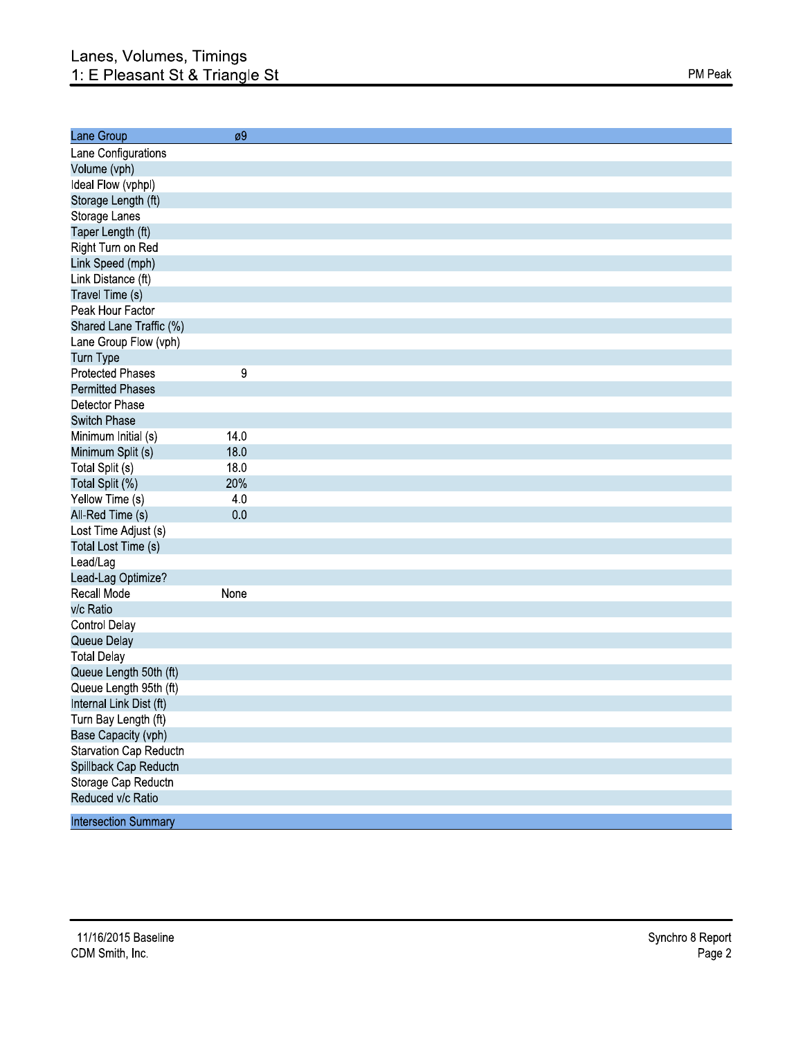| Lane Group                  | øУ   |  |
|-----------------------------|------|--|
| Lane Configurations         |      |  |
| Volume (vph)                |      |  |
| Ideal Flow (vphpl)          |      |  |
| Storage Length (ft)         |      |  |
| Storage Lanes               |      |  |
| Taper Length (ft)           |      |  |
| Right Turn on Red           |      |  |
| Link Speed (mph)            |      |  |
| Link Distance (ft)          |      |  |
| Travel Time (s)             |      |  |
| Peak Hour Factor            |      |  |
| Shared Lane Traffic (%)     |      |  |
| Lane Group Flow (vph)       |      |  |
| Turn Type                   |      |  |
| <b>Protected Phases</b>     | 9    |  |
| <b>Permitted Phases</b>     |      |  |
| Detector Phase              |      |  |
| <b>Switch Phase</b>         |      |  |
| Minimum Initial (s)         | 140  |  |
| Minimum Split (s)           | 18.0 |  |
| Total Split (s)             | 180  |  |
| Total Split (%)             | 20%  |  |
| Yellow Time (s)             | 4.0  |  |
| All-Red Time (s)            | 0.0  |  |
| Lost Time Adjust (s)        |      |  |
| Total Lost Time (s)         |      |  |
| Lead/Lag                    |      |  |
| Lead-Lag Optimize?          |      |  |
| Recall Mode                 | None |  |
| v/c Ratio                   |      |  |
| <b>Control Delay</b>        |      |  |
| Queue Delay                 |      |  |
| <b>Total Delay</b>          |      |  |
| Queue Length 50th (ft)      |      |  |
| Queue Length 95th (ft)      |      |  |
| Internal Link Dist (ft)     |      |  |
| Turn Bay Length (ft)        |      |  |
| Base Capacity (vph)         |      |  |
| Starvation Cap Reductn      |      |  |
| Spillback Cap Reductn       |      |  |
| Storage Cap Reductn         |      |  |
| Reduced v/c Ratio           |      |  |
|                             |      |  |
| <b>Intersection Summary</b> |      |  |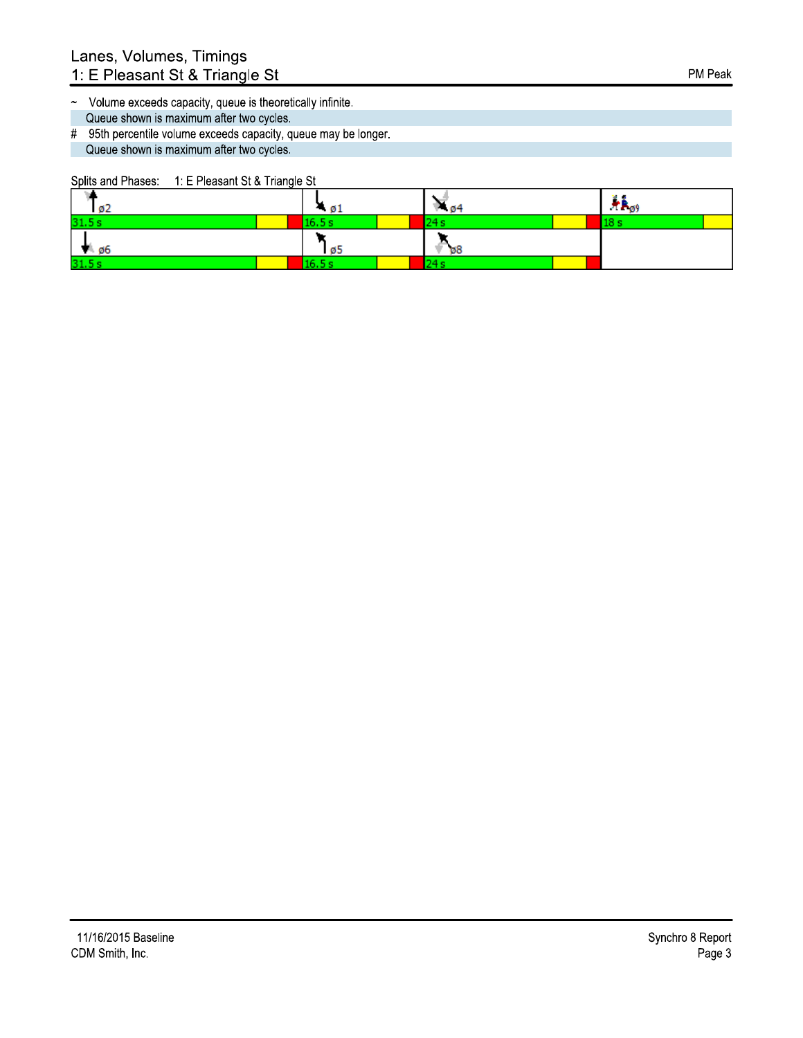- ~ Volume exceeds capacity, queue is theoretically infinite. Queue shown is maximum after two cycles.
- # 95th percentile volume exceeds capacity, queue may be longer. Queue shown is maximum after two cycles.

Splits and Phases: 1: E Pleasant St & Triangle St

| 102             | - 01  | P 04     | $+ \epsilon_{\rho 9}$ |
|-----------------|-------|----------|-----------------------|
| 31.5s           | 6 S e |          |                       |
| $\frac{10}{96}$ | 105   | $\psi$ 8 |                       |
| 31.5s           |       | L4 S     |                       |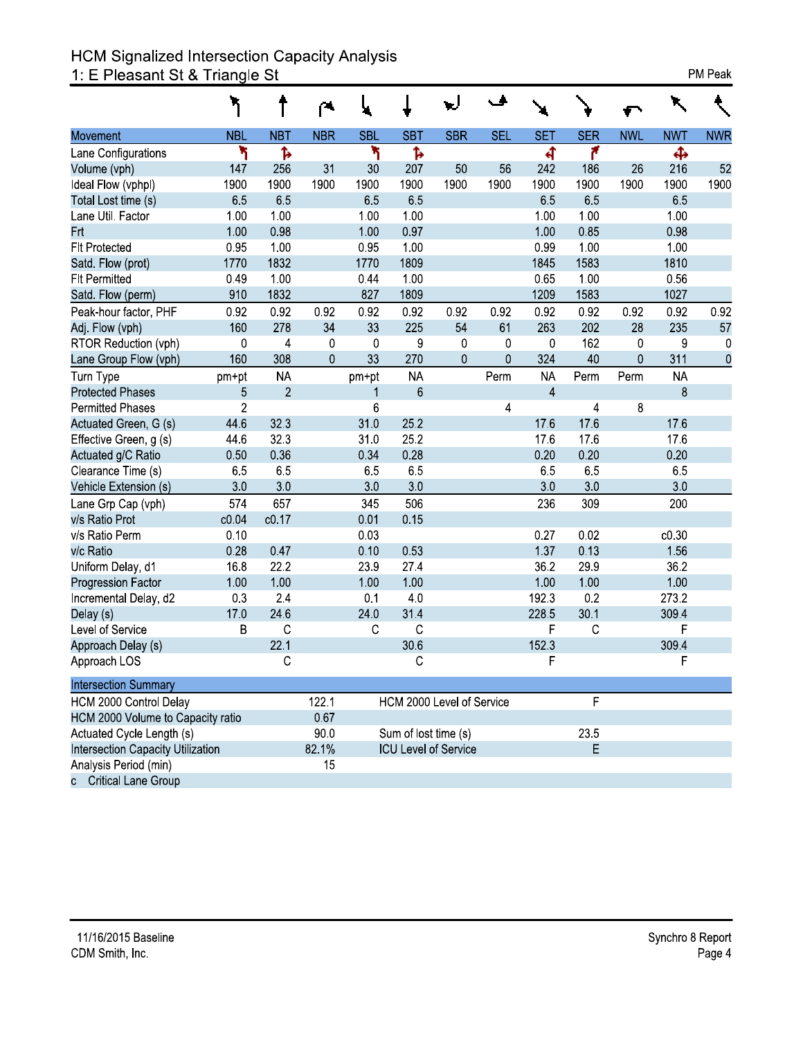# HCM Signalized Intersection Capacity Analysis<br>1: E Pleasant St & Triangle St

|  | <b>PM Peak</b> |
|--|----------------|
|--|----------------|

|                                            |                |                         | ◚           |             |                             |             |             |                |                 |            |            |            |
|--------------------------------------------|----------------|-------------------------|-------------|-------------|-----------------------------|-------------|-------------|----------------|-----------------|------------|------------|------------|
| Movement                                   | <b>NBL</b>     | <b>NBT</b>              | <b>NBR</b>  | <b>SBL</b>  | <b>SBT</b>                  | <b>SBR</b>  | <b>SEL</b>  | <b>SET</b>     | <b>SER</b>      | <b>NWL</b> | <b>NWT</b> | <b>NWR</b> |
| Lane Configurations                        | ۲              | ħ                       |             | ۳           | Ъ                           |             |             | बी             | ۴               |            | Ф          |            |
| Volume (vph)                               | 147            | 256                     | 31          | 30          | 207                         | 50          | 56          | 242            | 186             | 26         | 216        | 52         |
| Ideal Flow (vphpl)                         | 1900           | 1900                    | 1900        | 1900        | 1900                        | 1900        | 1900        | 1900           | 1900            | 1900       | 1900       | 1900       |
| Total Lost time (s)                        | 65             | 65                      |             | 65          | 65                          |             |             | 65             | 65              |            | 65         |            |
| Lane Util. Factor                          | 1.00           | 1.00                    |             | 1.00        | 1.00                        |             |             | 1.00           | 1.00            |            | 1.00       |            |
| <b>Frt</b>                                 | 1.00           | 098                     |             | 1.00        | 0.97                        |             |             | 1.00           | 0.85            |            | 0.98       |            |
| <b>Flt Protected</b>                       | 0.95           | 1.00                    |             | 0.95        | 1.00                        |             |             | 0.99           | 1.00            |            | 1.00       |            |
| Satd. Flow (prot)                          | 1770           | 1832                    |             | 1770        | 1809                        |             |             | 1845           | 1583            |            | 1810       |            |
| <b>FIt Permitted</b>                       | 049            | 1.00                    |             | 044         | 1.00                        |             |             | 0.65           | 1.00            |            | 0.56       |            |
| Satd. Flow (perm)                          | 910            | 1832                    |             | 827         | 1809                        |             |             | 1209           | 1583            |            | 1027       |            |
| Peak-hour factor, PHF                      | 0.92           | 0.92                    | 0.92        | 0.92        | 0.92                        | 0.92        | 0.92        | 0.92           | 0.92            | 0.92       | 0.92       | 0.92       |
| Adj. Flow (vph)                            | 160            | 278                     | 34          | 33          | 225                         | 54          | 61          | 263            | 202             | 28         | 235        | 57         |
| RTOR Reduction (vph)                       | $\pmb{0}$      | $\overline{\mathbf{4}}$ | $\mathbf 0$ | $\mathbf 0$ | 9                           | $\pmb{0}$   | $\mathbf 0$ | $\pmb{0}$      | 162             | 0          | 9          | 0          |
| Lane Group Flow (vph)                      | 160            | 308                     | 0           | 33          | 270                         | $\mathbf 0$ | $\mathbf 0$ | 324            | 40              | 0          | 311        | $\pmb{0}$  |
| Turn Type                                  | pm+pt          | <b>NA</b>               |             | pm+pt       | <b>NA</b>                   |             | Perm        | <b>NA</b>      | Perm            | Perm       | <b>NA</b>  |            |
| <b>Protected Phases</b>                    | 5              | $\overline{2}$          |             | 1           | $6\phantom{1}$              |             |             | $\overline{4}$ |                 |            | 8          |            |
| <b>Permitted Phases</b>                    | $\overline{2}$ |                         |             | 6           |                             |             | 4           |                | 4               | 8          |            |            |
| Actuated Green, G (s)                      | 44 6           | 323                     |             | 310         | 25.2                        |             |             | 17.6           | 176             |            | 17.6       |            |
| Effective Green, g (s)                     | 44 6           | 323                     |             | 31.0        | 252                         |             |             | 176            | 176             |            | 17.6       |            |
| Actuated g/C Ratio                         | 0.50           | 0.36                    |             | 0.34        | 0.28                        |             |             | 0.20           | 0.20            |            | 0.20       |            |
| Clearance Time (s)                         | 6.5            | 65                      |             | 6.5         | 65                          |             |             | 6.5            | 6.5             |            | 6.5        |            |
| Vehicle Extension (s)                      | 30             | 30                      |             | 30          | 30                          |             |             | 3.0            | 30              |            | 30         |            |
| Lane Grp Cap (vph)                         | 574            | 657                     |             | 345         | 506                         |             |             | 236            | 309             |            | 200        |            |
| v/s Ratio Prot                             | c0.04          | c0.17                   |             | 0.01        | 0.15                        |             |             |                |                 |            |            |            |
| v/s Ratio Perm                             | 0.10           |                         |             | 0.03        |                             |             |             | 0.27           | 0.02            |            | c0.30      |            |
| v/c Ratio                                  | 0.28           | 0.47                    |             | 0.10        | 053                         |             |             | 1.37           | 0 <sub>13</sub> |            | 156        |            |
| Uniform Delay, d1                          | 168            | 22.2                    |             | 239         | 27.4                        |             |             | 362            | 299             |            | 362        |            |
| <b>Progression Factor</b>                  | 1.00           | 1.00                    |             | 1.00        | 1.00                        |             |             | 1.00           | 1.00            |            | 1.00       |            |
| Incremental Delay, d2                      | 0.3            | 2.4                     |             | 0.1         | 4.0                         |             |             | 1923           | 0.2             |            | 273.2      |            |
| Delay (s)                                  | 17.0           | 246                     |             | 240         | 314                         |             |             | 228.5          | 30.1            |            | 309.4      |            |
| Level of Service                           | B              | $\mathbf C$             |             | $\mathsf C$ | $\mathsf{C}$                |             |             | F              | $\mathsf{C}$    |            | F          |            |
| Approach Delay (s)                         |                | 22.1                    |             |             | 30.6                        |             |             | 152.3          |                 |            | 309.4      |            |
| Approach LOS                               |                | С                       |             |             | С                           |             |             | F              |                 |            | F          |            |
| <b>Intersection Summary</b>                |                |                         |             |             |                             |             |             |                |                 |            |            |            |
| HCM 2000 Control Delay                     |                |                         | 122.1       |             | HCM 2000 Level of Service   |             |             |                | F               |            |            |            |
| HCM 2000 Volume to Capacity ratio          |                |                         | 0.67        |             |                             |             |             |                |                 |            |            |            |
| Actuated Cycle Length (s)                  |                |                         | 90.0        |             | Sum of lost time (s)        |             |             |                | 23.5            |            |            |            |
| Intersection Capacity Utilization<br>82.1% |                |                         |             |             | <b>ICU Level of Service</b> |             |             |                | E               |            |            |            |
| Analysis Period (min)                      |                |                         | 15          |             |                             |             |             |                |                 |            |            |            |
| c Critical Lane Group                      |                |                         |             |             |                             |             |             |                |                 |            |            |            |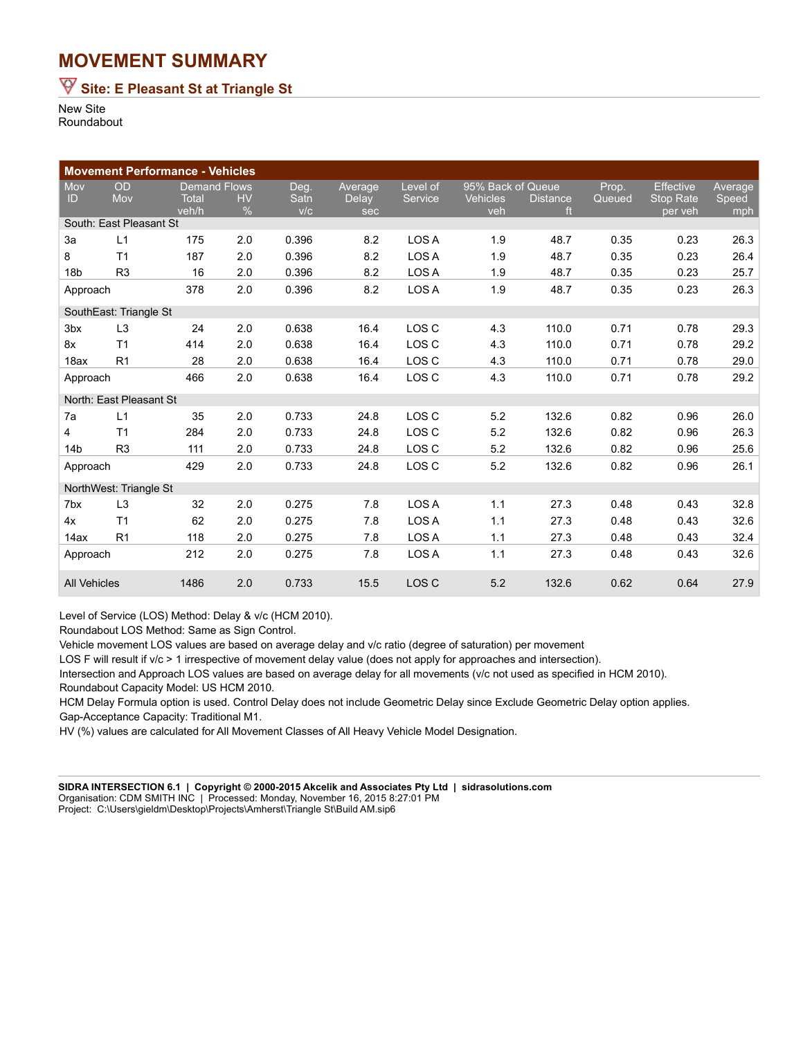### **MOVEMENT SUMMARY**

## **Site: E Pleasant St at Triangle St**

New Site Roundabout

|                         |                | <b>Movement Performance - Vehicles</b> |           |       |              |          |                   |                 |        |                  |         |
|-------------------------|----------------|----------------------------------------|-----------|-------|--------------|----------|-------------------|-----------------|--------|------------------|---------|
| Mov                     | OD             | <b>Demand Flows</b>                    |           | Deg.  | Average      | Level of | 95% Back of Queue |                 | Prop.  | <b>Effective</b> | Average |
| ID                      | Mov            | <b>Total</b>                           | <b>HV</b> | Satn  | <b>Delay</b> | Service  | <b>Vehicles</b>   | <b>Distance</b> | Queued | <b>Stop Rate</b> | Speed   |
|                         |                | veh/h                                  | $\%$      | V/C   | sec          |          | veh               | ft              |        | per veh          | mph     |
| South: East Pleasant St |                |                                        |           |       |              |          |                   |                 |        |                  |         |
| 3a                      | L1             | 175                                    | 2.0       | 0.396 | 8.2          | LOS A    | 1.9               | 48.7            | 0.35   | 0.23             | 26.3    |
| 8                       | T <sub>1</sub> | 187                                    | 2.0       | 0.396 | 8.2          | LOS A    | 1.9               | 48.7            | 0.35   | 0.23             | 26.4    |
| 18 <sub>b</sub>         | R <sub>3</sub> | 16                                     | 2.0       | 0.396 | 8.2          | LOS A    | 1.9               | 48.7            | 0.35   | 0.23             | 25.7    |
| Approach                |                | 378                                    | 2.0       | 0.396 | 8.2          | LOS A    | 1.9               | 48.7            | 0.35   | 0.23             | 26.3    |
| SouthEast: Triangle St  |                |                                        |           |       |              |          |                   |                 |        |                  |         |
| 3 <sub>bx</sub>         | L <sub>3</sub> | 24                                     | 2.0       | 0.638 | 16.4         | LOS C    | 4.3               | 110.0           | 0.71   | 0.78             | 29.3    |
| 8x                      | T <sub>1</sub> | 414                                    | 2.0       | 0.638 | 16.4         | LOS C    | 4.3               | 110.0           | 0.71   | 0.78             | 29.2    |
| 18ax                    | R <sub>1</sub> | 28                                     | 2.0       | 0.638 | 16.4         | LOS C    | 4.3               | 110.0           | 0.71   | 0.78             | 29.0    |
| Approach                |                | 466                                    | 2.0       | 0.638 | 16.4         | LOS C    | 4.3               | 110.0           | 0.71   | 0.78             | 29.2    |
| North: East Pleasant St |                |                                        |           |       |              |          |                   |                 |        |                  |         |
| 7a                      | L1             | 35                                     | 2.0       | 0.733 | 24.8         | LOS C    | 5.2               | 132.6           | 0.82   | 0.96             | 26.0    |
| $\overline{4}$          | T <sub>1</sub> | 284                                    | 2.0       | 0.733 | 24.8         | LOS C    | 5.2               | 132.6           | 0.82   | 0.96             | 26.3    |
| 14 <sub>b</sub>         | R <sub>3</sub> | 111                                    | 2.0       | 0.733 | 24.8         | LOS C    | 5.2               | 132.6           | 0.82   | 0.96             | 25.6    |
| Approach                |                | 429                                    | 2.0       | 0.733 | 24.8         | LOS C    | 5.2               | 132.6           | 0.82   | 0.96             | 26.1    |
| NorthWest: Triangle St  |                |                                        |           |       |              |          |                   |                 |        |                  |         |
| 7 <sub>bx</sub>         | L3             | 32                                     | 2.0       | 0.275 | 7.8          | LOS A    | 1.1               | 27.3            | 0.48   | 0.43             | 32.8    |
| 4x                      | T <sub>1</sub> | 62                                     | 2.0       | 0.275 | 7.8          | LOS A    | 1.1               | 27.3            | 0.48   | 0.43             | 32.6    |
| 14ax                    | R <sub>1</sub> | 118                                    | 2.0       | 0.275 | 7.8          | LOS A    | 1.1               | 27.3            | 0.48   | 0.43             | 32.4    |
| Approach                |                | 212                                    | 2.0       | 0.275 | 7.8          | LOS A    | $1.1$             | 27.3            | 0.48   | 0.43             | 32.6    |
| <b>All Vehicles</b>     |                | 1486                                   | 2.0       | 0.733 | 15.5         | LOS C    | 5.2               | 132.6           | 0.62   | 0.64             | 27.9    |

Level of Service (LOS) Method: Delay & v/c (HCM 2010).

Roundabout LOS Method: Same as Sign Control.

Vehicle movement LOS values are based on average delay and v/c ratio (degree of saturation) per movement

LOS F will result if v/c > 1 irrespective of movement delay value (does not apply for approaches and intersection).

Intersection and Approach LOS values are based on average delay for all movements (v/c not used as specified in HCM 2010). Roundabout Capacity Model: US HCM 2010.

HCM Delay Formula option is used. Control Delay does not include Geometric Delay since Exclude Geometric Delay option applies. Gap-Acceptance Capacity: Traditional M1.

HV (%) values are calculated for All Movement Classes of All Heavy Vehicle Model Designation.

**SIDRA INTERSECTION 6.1 | Copyright © 2000-2015 Akcelik and Associates Pty Ltd | sidrasolutions.com** Organisation: CDM SMITH INC | Processed: Monday, November 16, 2015 8:27:01 PM Project: C:\Users\gieldm\Desktop\Projects\Amherst\Triangle St\Build AM.sip6